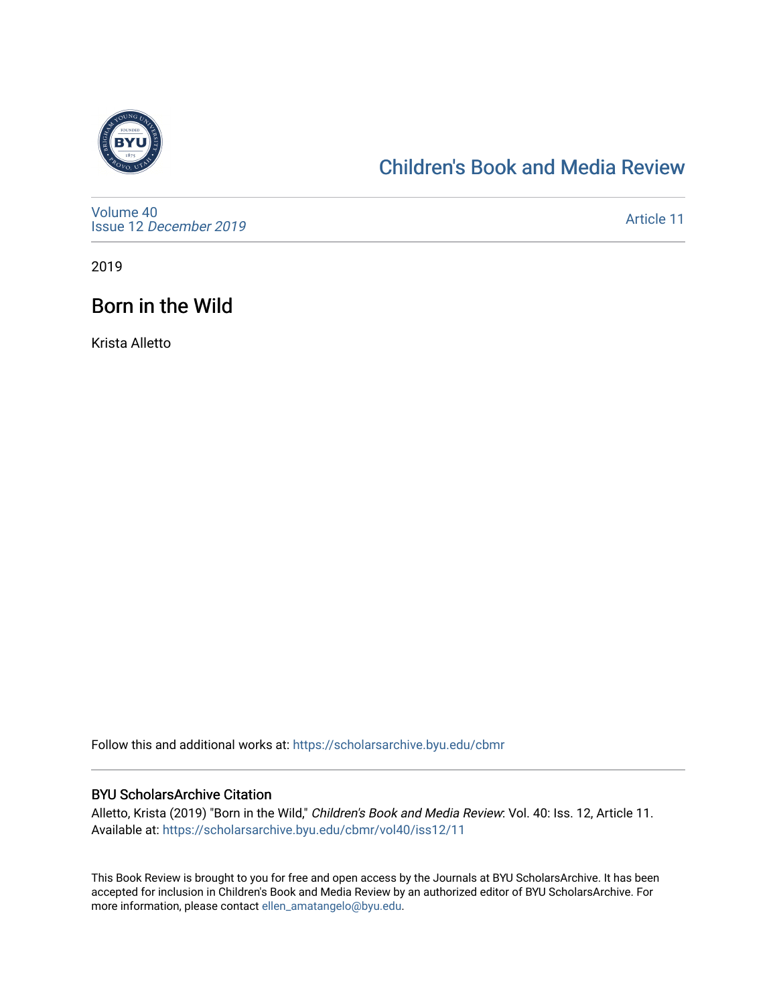

# [Children's Book and Media Review](https://scholarsarchive.byu.edu/cbmr)

[Volume 40](https://scholarsarchive.byu.edu/cbmr/vol40) Issue 12 [December 2019](https://scholarsarchive.byu.edu/cbmr/vol40/iss12)

[Article 11](https://scholarsarchive.byu.edu/cbmr/vol40/iss12/11) 

2019

# Born in the Wild

Krista Alletto

Follow this and additional works at: [https://scholarsarchive.byu.edu/cbmr](https://scholarsarchive.byu.edu/cbmr?utm_source=scholarsarchive.byu.edu%2Fcbmr%2Fvol40%2Fiss12%2F11&utm_medium=PDF&utm_campaign=PDFCoverPages) 

#### BYU ScholarsArchive Citation

Alletto, Krista (2019) "Born in the Wild," Children's Book and Media Review: Vol. 40: Iss. 12, Article 11. Available at: [https://scholarsarchive.byu.edu/cbmr/vol40/iss12/11](https://scholarsarchive.byu.edu/cbmr/vol40/iss12/11?utm_source=scholarsarchive.byu.edu%2Fcbmr%2Fvol40%2Fiss12%2F11&utm_medium=PDF&utm_campaign=PDFCoverPages) 

This Book Review is brought to you for free and open access by the Journals at BYU ScholarsArchive. It has been accepted for inclusion in Children's Book and Media Review by an authorized editor of BYU ScholarsArchive. For more information, please contact [ellen\\_amatangelo@byu.edu.](mailto:ellen_amatangelo@byu.edu)